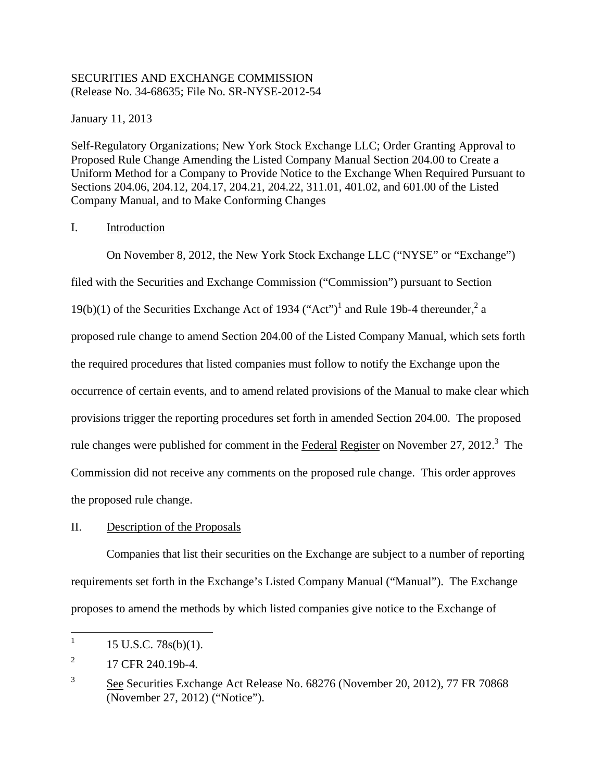## SECURITIES AND EXCHANGE COMMISSION (Release No. 34-68635; File No. SR-NYSE-2012-54

January 11, 2013

Self-Regulatory Organizations; New York Stock Exchange LLC; Order Granting Approval to Proposed Rule Change Amending the Listed Company Manual Section 204.00 to Create a Uniform Method for a Company to Provide Notice to the Exchange When Required Pursuant to Sections 204.06, 204.12, 204.17, 204.21, 204.22, 311.01, 401.02, and 601.00 of the Listed Company Manual, and to Make Conforming Changes

## I. Introduction

On November 8, 2012, the New York Stock Exchange LLC ("NYSE" or "Exchange") filed with the Securities and Exchange Commission ("Commission") pursuant to Section 19(b)(1) of the Securities Exchange Act of 1934 ("Act")<sup>1</sup> and Rule 19b-4 thereunder,<sup>2</sup> a proposed rule change to amend Section 204.00 of the Listed Company Manual, which sets forth the required procedures that listed companies must follow to notify the Exchange upon the occurrence of certain events, and to amend related provisions of the Manual to make clear which provisions trigger the reporting procedures set forth in amended Section 204.00. The proposed rule changes were published for comment in the Federal Register on November 27, 2012.<sup>3</sup> The Commission did not receive any comments on the proposed rule change. This order approves the proposed rule change.

II. Description of the Proposals

 Companies that list their securities on the Exchange are subject to a number of reporting requirements set forth in the Exchange's Listed Company Manual ("Manual"). The Exchange proposes to amend the methods by which listed companies give notice to the Exchange of

 $\frac{1}{1}$ 15 U.S.C. 78s(b)(1).

<sup>2</sup> 17 CFR 240.19b-4.

<sup>3</sup> See Securities Exchange Act Release No. 68276 (November 20, 2012), 77 FR 70868 (November 27, 2012) ("Notice").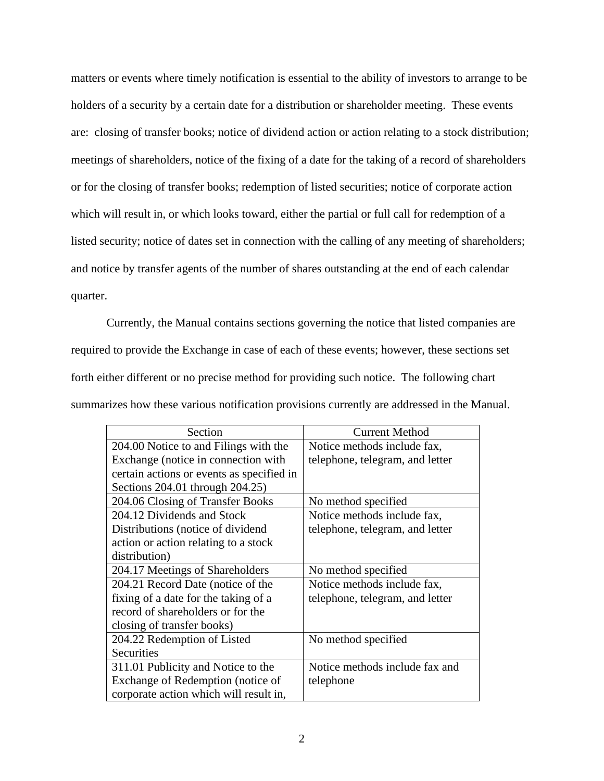matters or events where timely notification is essential to the ability of investors to arrange to be holders of a security by a certain date for a distribution or shareholder meeting. These events are: closing of transfer books; notice of dividend action or action relating to a stock distribution; meetings of shareholders, notice of the fixing of a date for the taking of a record of shareholders or for the closing of transfer books; redemption of listed securities; notice of corporate action which will result in, or which looks toward, either the partial or full call for redemption of a listed security; notice of dates set in connection with the calling of any meeting of shareholders; and notice by transfer agents of the number of shares outstanding at the end of each calendar quarter.

 Currently, the Manual contains sections governing the notice that listed companies are required to provide the Exchange in case of each of these events; however, these sections set forth either different or no precise method for providing such notice. The following chart summarizes how these various notification provisions currently are addressed in the Manual.

| Section                                   | <b>Current Method</b>           |
|-------------------------------------------|---------------------------------|
| 204.00 Notice to and Filings with the     | Notice methods include fax,     |
| Exchange (notice in connection with       | telephone, telegram, and letter |
| certain actions or events as specified in |                                 |
| Sections 204.01 through 204.25)           |                                 |
| 204.06 Closing of Transfer Books          | No method specified             |
| 204.12 Dividends and Stock                | Notice methods include fax,     |
| Distributions (notice of dividend         | telephone, telegram, and letter |
| action or action relating to a stock      |                                 |
| distribution)                             |                                 |
| 204.17 Meetings of Shareholders           | No method specified             |
| 204.21 Record Date (notice of the         | Notice methods include fax,     |
| fixing of a date for the taking of a      | telephone, telegram, and letter |
| record of shareholders or for the         |                                 |
| closing of transfer books)                |                                 |
| 204.22 Redemption of Listed               | No method specified             |
| <b>Securities</b>                         |                                 |
| 311.01 Publicity and Notice to the        | Notice methods include fax and  |
| Exchange of Redemption (notice of         | telephone                       |
| corporate action which will result in,    |                                 |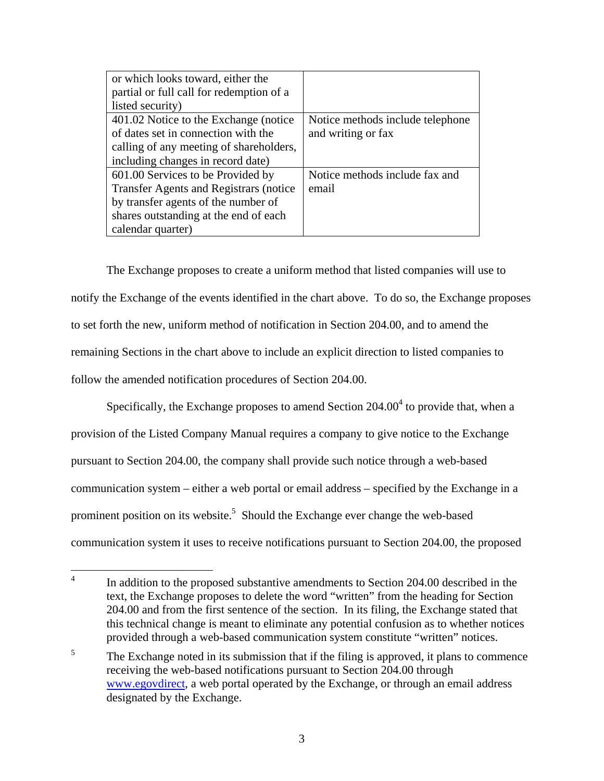| or which looks toward, either the              |                                  |
|------------------------------------------------|----------------------------------|
| partial or full call for redemption of a       |                                  |
| listed security)                               |                                  |
| 401.02 Notice to the Exchange (notice          | Notice methods include telephone |
| of dates set in connection with the            | and writing or fax               |
| calling of any meeting of shareholders,        |                                  |
| including changes in record date)              |                                  |
| 601.00 Services to be Provided by              | Notice methods include fax and   |
| <b>Transfer Agents and Registrars (notice)</b> | email                            |
| by transfer agents of the number of            |                                  |
| shares outstanding at the end of each          |                                  |
| calendar quarter)                              |                                  |

 The Exchange proposes to create a uniform method that listed companies will use to notify the Exchange of the events identified in the chart above. To do so, the Exchange proposes to set forth the new, uniform method of notification in Section 204.00, and to amend the remaining Sections in the chart above to include an explicit direction to listed companies to follow the amended notification procedures of Section 204.00.

Specifically, the Exchange proposes to amend Section  $204.00<sup>4</sup>$  to provide that, when a provision of the Listed Company Manual requires a company to give notice to the Exchange pursuant to Section 204.00, the company shall provide such notice through a web-based communication system – either a web portal or email address – specified by the Exchange in a prominent position on its website.<sup>5</sup> Should the Exchange ever change the web-based communication system it uses to receive notifications pursuant to Section 204.00, the proposed

 $\frac{1}{4}$  In addition to the proposed substantive amendments to Section 204.00 described in the text, the Exchange proposes to delete the word "written" from the heading for Section 204.00 and from the first sentence of the section. In its filing, the Exchange stated that this technical change is meant to eliminate any potential confusion as to whether notices provided through a web-based communication system constitute "written" notices.

<sup>5</sup> The Exchange noted in its submission that if the filing is approved, it plans to commence receiving the web-based notifications pursuant to Section 204.00 through www.egovdirect, a web portal operated by the Exchange, or through an email address designated by the Exchange.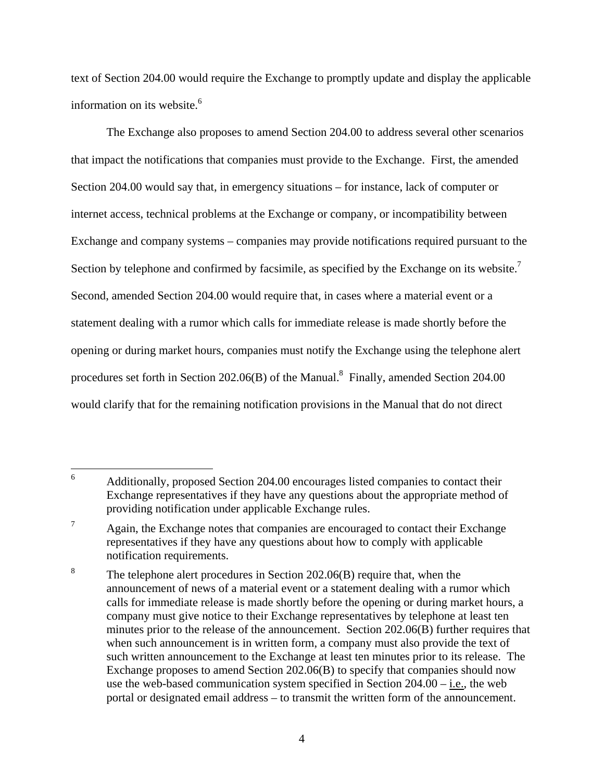text of Section 204.00 would require the Exchange to promptly update and display the applicable information on its website. $6$ 

 The Exchange also proposes to amend Section 204.00 to address several other scenarios that impact the notifications that companies must provide to the Exchange. First, the amended Section 204.00 would say that, in emergency situations – for instance, lack of computer or internet access, technical problems at the Exchange or company, or incompatibility between Exchange and company systems – companies may provide notifications required pursuant to the Section by telephone and confirmed by facsimile, as specified by the Exchange on its website.<sup>7</sup> Second, amended Section 204.00 would require that, in cases where a material event or a statement dealing with a rumor which calls for immediate release is made shortly before the opening or during market hours, companies must notify the Exchange using the telephone alert procedures set forth in Section 202.06(B) of the Manual.<sup>8</sup> Finally, amended Section 204.00 would clarify that for the remaining notification provisions in the Manual that do not direct

 6 Additionally, proposed Section 204.00 encourages listed companies to contact their Exchange representatives if they have any questions about the appropriate method of providing notification under applicable Exchange rules.

<sup>7</sup> Again, the Exchange notes that companies are encouraged to contact their Exchange representatives if they have any questions about how to comply with applicable notification requirements.

<sup>8</sup> The telephone alert procedures in Section 202.06(B) require that, when the announcement of news of a material event or a statement dealing with a rumor which calls for immediate release is made shortly before the opening or during market hours, a company must give notice to their Exchange representatives by telephone at least ten minutes prior to the release of the announcement. Section 202.06(B) further requires that when such announcement is in written form, a company must also provide the text of such written announcement to the Exchange at least ten minutes prior to its release. The Exchange proposes to amend Section 202.06(B) to specify that companies should now use the web-based communication system specified in Section 204.00 – i.e., the web portal or designated email address – to transmit the written form of the announcement.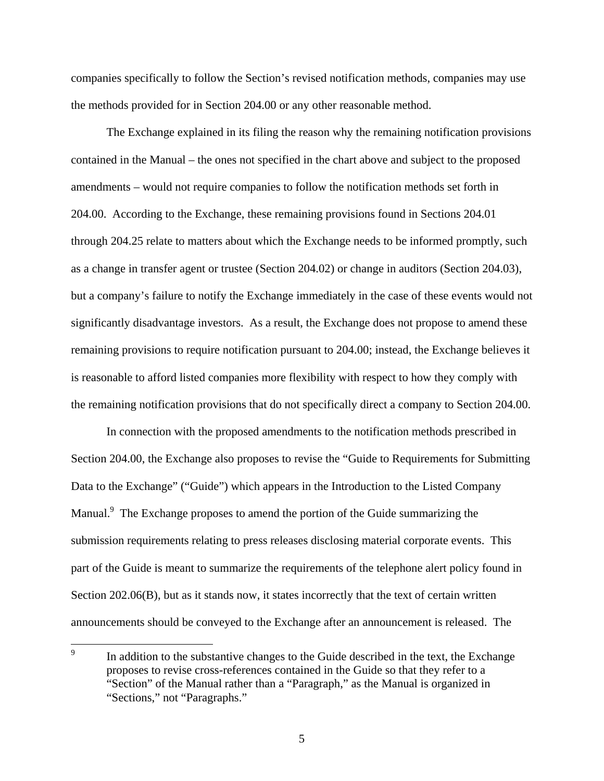companies specifically to follow the Section's revised notification methods, companies may use the methods provided for in Section 204.00 or any other reasonable method.

 The Exchange explained in its filing the reason why the remaining notification provisions contained in the Manual – the ones not specified in the chart above and subject to the proposed amendments – would not require companies to follow the notification methods set forth in 204.00. According to the Exchange, these remaining provisions found in Sections 204.01 through 204.25 relate to matters about which the Exchange needs to be informed promptly, such as a change in transfer agent or trustee (Section 204.02) or change in auditors (Section 204.03), but a company's failure to notify the Exchange immediately in the case of these events would not significantly disadvantage investors. As a result, the Exchange does not propose to amend these remaining provisions to require notification pursuant to 204.00; instead, the Exchange believes it is reasonable to afford listed companies more flexibility with respect to how they comply with the remaining notification provisions that do not specifically direct a company to Section 204.00.

 In connection with the proposed amendments to the notification methods prescribed in Section 204.00, the Exchange also proposes to revise the "Guide to Requirements for Submitting Data to the Exchange" ("Guide") which appears in the Introduction to the Listed Company Manual.<sup>9</sup> The Exchange proposes to amend the portion of the Guide summarizing the submission requirements relating to press releases disclosing material corporate events. This part of the Guide is meant to summarize the requirements of the telephone alert policy found in Section 202.06(B), but as it stands now, it states incorrectly that the text of certain written announcements should be conveyed to the Exchange after an announcement is released. The

<sup>–&</sup>lt;br>9 In addition to the substantive changes to the Guide described in the text, the Exchange proposes to revise cross-references contained in the Guide so that they refer to a "Section" of the Manual rather than a "Paragraph," as the Manual is organized in "Sections," not "Paragraphs."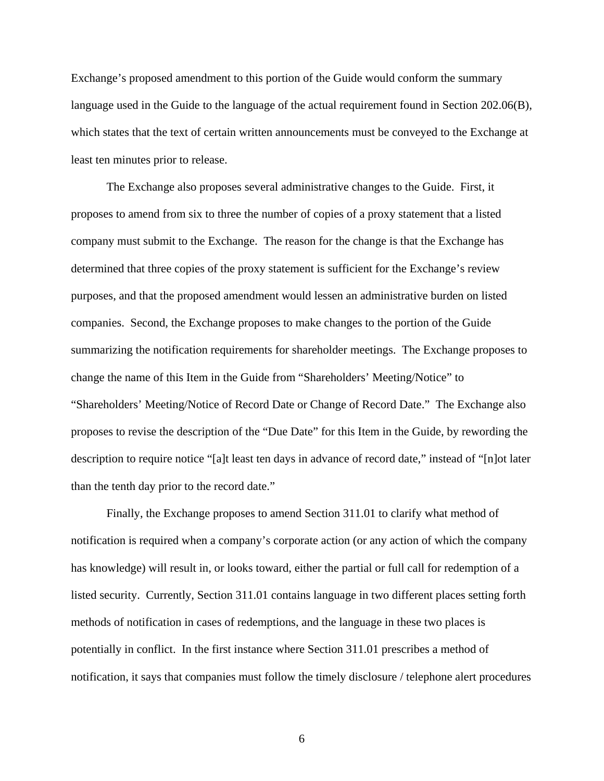Exchange's proposed amendment to this portion of the Guide would conform the summary language used in the Guide to the language of the actual requirement found in Section 202.06(B), which states that the text of certain written announcements must be conveyed to the Exchange at least ten minutes prior to release.

 The Exchange also proposes several administrative changes to the Guide. First, it proposes to amend from six to three the number of copies of a proxy statement that a listed company must submit to the Exchange. The reason for the change is that the Exchange has determined that three copies of the proxy statement is sufficient for the Exchange's review purposes, and that the proposed amendment would lessen an administrative burden on listed companies. Second, the Exchange proposes to make changes to the portion of the Guide summarizing the notification requirements for shareholder meetings. The Exchange proposes to change the name of this Item in the Guide from "Shareholders' Meeting/Notice" to "Shareholders' Meeting/Notice of Record Date or Change of Record Date." The Exchange also proposes to revise the description of the "Due Date" for this Item in the Guide, by rewording the description to require notice "[a]t least ten days in advance of record date," instead of "[n]ot later than the tenth day prior to the record date."

 Finally, the Exchange proposes to amend Section 311.01 to clarify what method of notification is required when a company's corporate action (or any action of which the company has knowledge) will result in, or looks toward, either the partial or full call for redemption of a listed security. Currently, Section 311.01 contains language in two different places setting forth methods of notification in cases of redemptions, and the language in these two places is potentially in conflict. In the first instance where Section 311.01 prescribes a method of notification, it says that companies must follow the timely disclosure / telephone alert procedures

6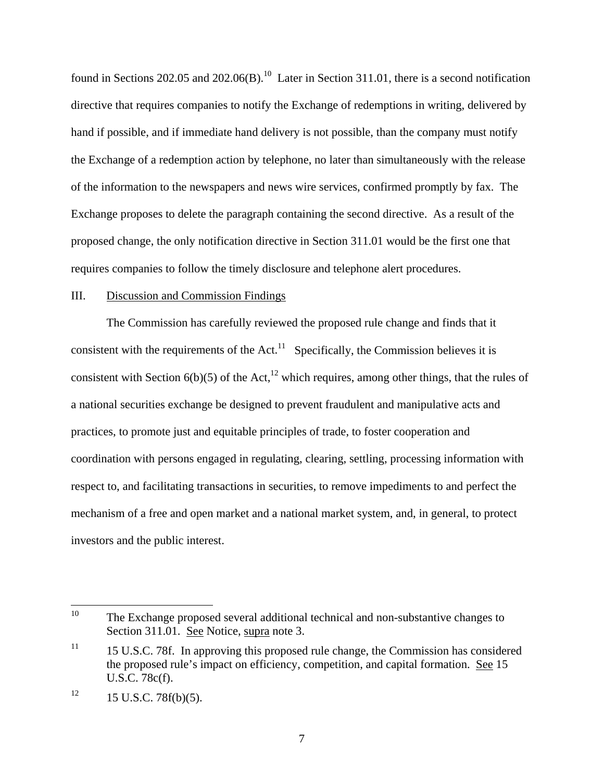found in Sections 202.05 and 202.06(B).<sup>10</sup> Later in Section 311.01, there is a second notification directive that requires companies to notify the Exchange of redemptions in writing, delivered by hand if possible, and if immediate hand delivery is not possible, than the company must notify the Exchange of a redemption action by telephone, no later than simultaneously with the release of the information to the newspapers and news wire services, confirmed promptly by fax. The Exchange proposes to delete the paragraph containing the second directive. As a result of the proposed change, the only notification directive in Section 311.01 would be the first one that requires companies to follow the timely disclosure and telephone alert procedures.

## III. Discussion and Commission Findings

The Commission has carefully reviewed the proposed rule change and finds that it consistent with the requirements of the Act.<sup>11</sup> Specifically, the Commission believes it is consistent with Section  $6(b)(5)$  of the Act,<sup>12</sup> which requires, among other things, that the rules of a national securities exchange be designed to prevent fraudulent and manipulative acts and practices, to promote just and equitable principles of trade, to foster cooperation and coordination with persons engaged in regulating, clearing, settling, processing information with respect to, and facilitating transactions in securities, to remove impediments to and perfect the mechanism of a free and open market and a national market system, and, in general, to protect investors and the public interest.

 $10\,$ The Exchange proposed several additional technical and non-substantive changes to Section 311.01. See Notice, supra note 3.

 $11$  15 U.S.C. 78f. In approving this proposed rule change, the Commission has considered the proposed rule's impact on efficiency, competition, and capital formation. See 15 U.S.C. 78c(f).

 $12 \t15$  U.S.C. 78f(b)(5).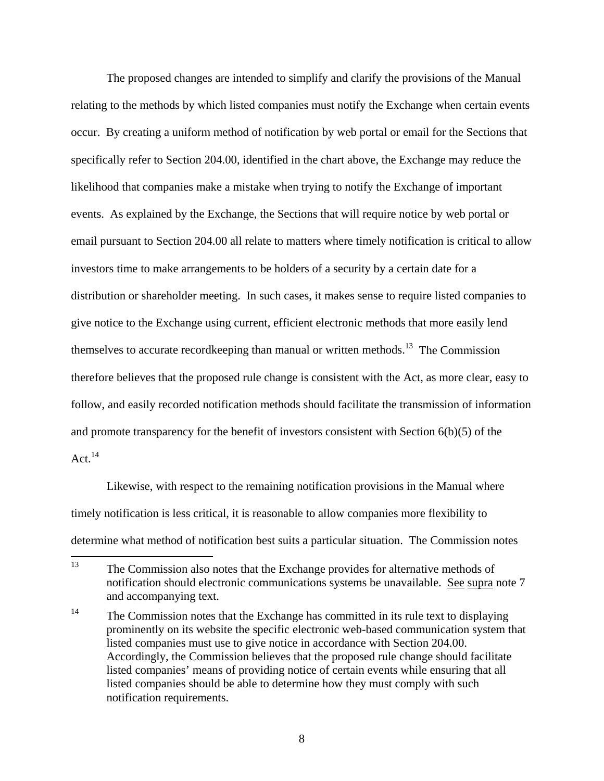The proposed changes are intended to simplify and clarify the provisions of the Manual relating to the methods by which listed companies must notify the Exchange when certain events occur. By creating a uniform method of notification by web portal or email for the Sections that specifically refer to Section 204.00, identified in the chart above, the Exchange may reduce the likelihood that companies make a mistake when trying to notify the Exchange of important events. As explained by the Exchange, the Sections that will require notice by web portal or email pursuant to Section 204.00 all relate to matters where timely notification is critical to allow investors time to make arrangements to be holders of a security by a certain date for a distribution or shareholder meeting. In such cases, it makes sense to require listed companies to give notice to the Exchange using current, efficient electronic methods that more easily lend themselves to accurate record keeping than manual or written methods.<sup>13</sup> The Commission therefore believes that the proposed rule change is consistent with the Act, as more clear, easy to follow, and easily recorded notification methods should facilitate the transmission of information and promote transparency for the benefit of investors consistent with Section 6(b)(5) of the Act $14$ 

Likewise, with respect to the remaining notification provisions in the Manual where timely notification is less critical, it is reasonable to allow companies more flexibility to determine what method of notification best suits a particular situation. The Commission notes

 $13<sup>°</sup>$ The Commission also notes that the Exchange provides for alternative methods of notification should electronic communications systems be unavailable. See supra note 7 and accompanying text.

<sup>&</sup>lt;sup>14</sup> The Commission notes that the Exchange has committed in its rule text to displaying prominently on its website the specific electronic web-based communication system that listed companies must use to give notice in accordance with Section 204.00. Accordingly, the Commission believes that the proposed rule change should facilitate listed companies' means of providing notice of certain events while ensuring that all listed companies should be able to determine how they must comply with such notification requirements.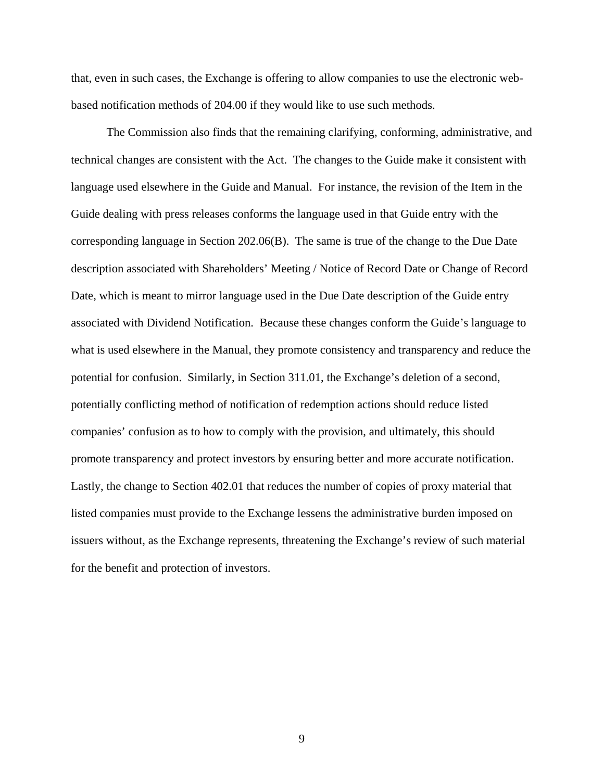that, even in such cases, the Exchange is offering to allow companies to use the electronic webbased notification methods of 204.00 if they would like to use such methods.

The Commission also finds that the remaining clarifying, conforming, administrative, and technical changes are consistent with the Act. The changes to the Guide make it consistent with language used elsewhere in the Guide and Manual. For instance, the revision of the Item in the Guide dealing with press releases conforms the language used in that Guide entry with the corresponding language in Section 202.06(B). The same is true of the change to the Due Date description associated with Shareholders' Meeting / Notice of Record Date or Change of Record Date, which is meant to mirror language used in the Due Date description of the Guide entry associated with Dividend Notification. Because these changes conform the Guide's language to what is used elsewhere in the Manual, they promote consistency and transparency and reduce the potential for confusion. Similarly, in Section 311.01, the Exchange's deletion of a second, potentially conflicting method of notification of redemption actions should reduce listed companies' confusion as to how to comply with the provision, and ultimately, this should promote transparency and protect investors by ensuring better and more accurate notification. Lastly, the change to Section 402.01 that reduces the number of copies of proxy material that listed companies must provide to the Exchange lessens the administrative burden imposed on issuers without, as the Exchange represents, threatening the Exchange's review of such material for the benefit and protection of investors.